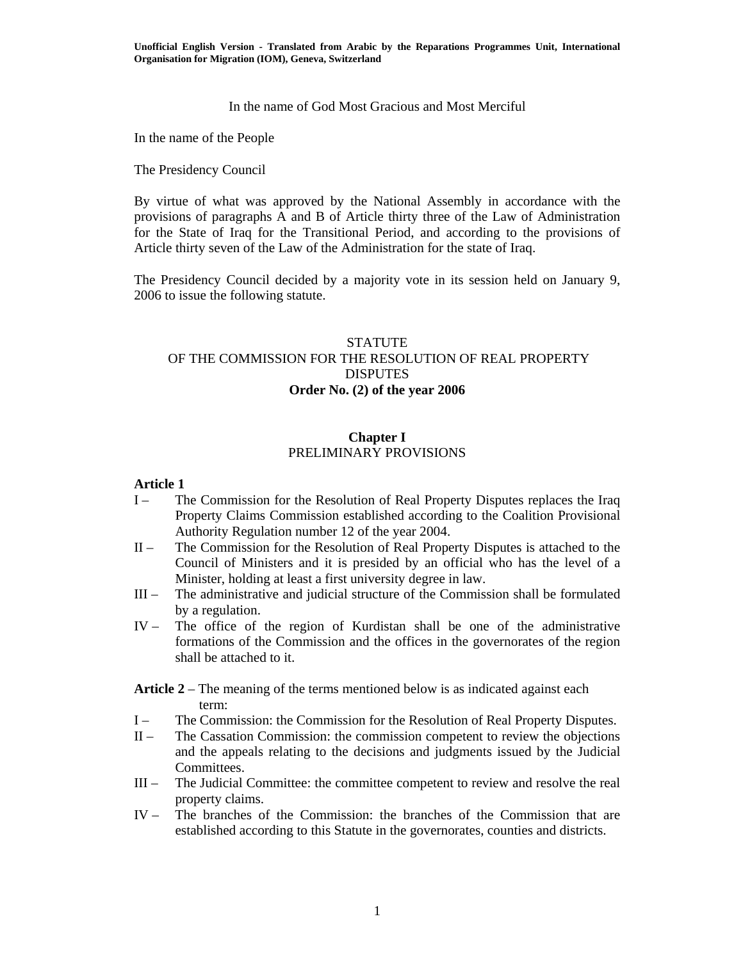In the name of God Most Gracious and Most Merciful

In the name of the People

The Presidency Council

By virtue of what was approved by the National Assembly in accordance with the provisions of paragraphs A and B of Article thirty three of the Law of Administration for the State of Iraq for the Transitional Period, and according to the provisions of Article thirty seven of the Law of the Administration for the state of Iraq.

The Presidency Council decided by a majority vote in its session held on January 9, 2006 to issue the following statute.

# **STATUTE**  OF THE COMMISSION FOR THE RESOLUTION OF REAL PROPERTY DISPUTES **Order No. (2) of the year 2006**

### **Chapter I**  PRELIMINARY PROVISIONS

#### **Article 1**

- I The Commission for the Resolution of Real Property Disputes replaces the Iraq Property Claims Commission established according to the Coalition Provisional Authority Regulation number 12 of the year 2004.
- II The Commission for the Resolution of Real Property Disputes is attached to the Council of Ministers and it is presided by an official who has the level of a Minister, holding at least a first university degree in law.
- III The administrative and judicial structure of the Commission shall be formulated by a regulation.
- IV The office of the region of Kurdistan shall be one of the administrative formations of the Commission and the offices in the governorates of the region shall be attached to it.

#### **Article 2** – The meaning of the terms mentioned below is as indicated against each term:

- I The Commission: the Commission for the Resolution of Real Property Disputes.
- II The Cassation Commission: the commission competent to review the objections and the appeals relating to the decisions and judgments issued by the Judicial Committees.
- III The Judicial Committee: the committee competent to review and resolve the real property claims.
- IV The branches of the Commission: the branches of the Commission that are established according to this Statute in the governorates, counties and districts.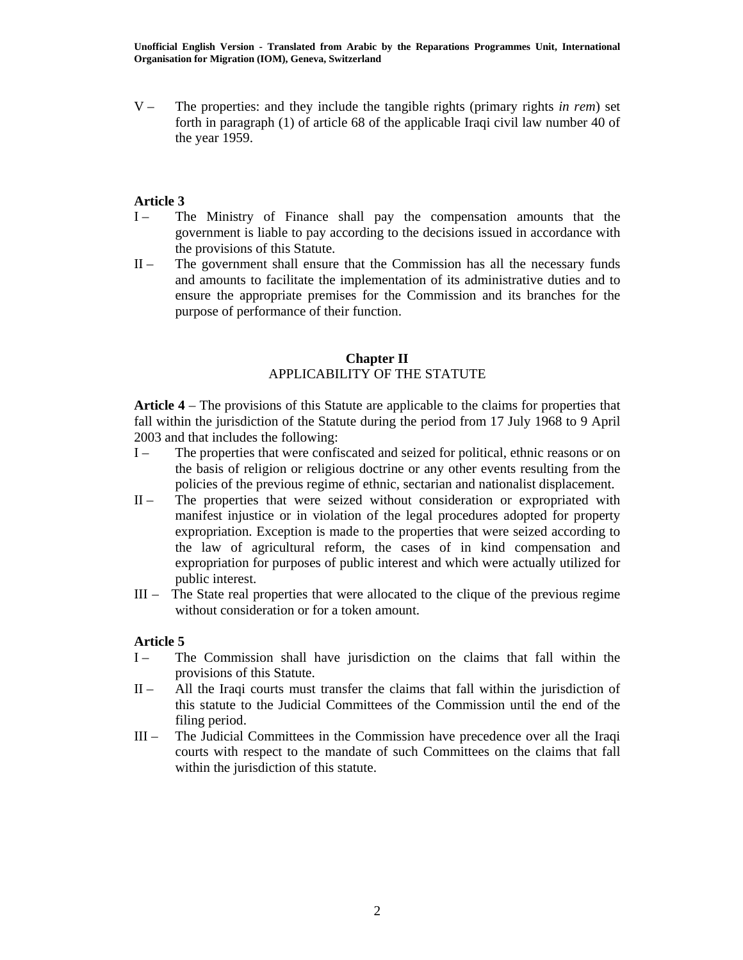V – The properties: and they include the tangible rights (primary rights *in rem*) set forth in paragraph (1) of article 68 of the applicable Iraqi civil law number 40 of the year 1959.

## **Article 3**

- I The Ministry of Finance shall pay the compensation amounts that the government is liable to pay according to the decisions issued in accordance with the provisions of this Statute.
- II The government shall ensure that the Commission has all the necessary funds and amounts to facilitate the implementation of its administrative duties and to ensure the appropriate premises for the Commission and its branches for the purpose of performance of their function.

## **Chapter II**  APPLICABILITY OF THE STATUTE

**Article 4** – The provisions of this Statute are applicable to the claims for properties that fall within the jurisdiction of the Statute during the period from 17 July 1968 to 9 April 2003 and that includes the following:

- I The properties that were confiscated and seized for political, ethnic reasons or on the basis of religion or religious doctrine or any other events resulting from the policies of the previous regime of ethnic, sectarian and nationalist displacement.
- II The properties that were seized without consideration or expropriated with manifest injustice or in violation of the legal procedures adopted for property expropriation. Exception is made to the properties that were seized according to the law of agricultural reform, the cases of in kind compensation and expropriation for purposes of public interest and which were actually utilized for public interest.
- III The State real properties that were allocated to the clique of the previous regime without consideration or for a token amount.

### **Article 5**

- I The Commission shall have jurisdiction on the claims that fall within the provisions of this Statute.
- II All the Iraqi courts must transfer the claims that fall within the jurisdiction of this statute to the Judicial Committees of the Commission until the end of the filing period.
- III The Judicial Committees in the Commission have precedence over all the Iraqi courts with respect to the mandate of such Committees on the claims that fall within the jurisdiction of this statute.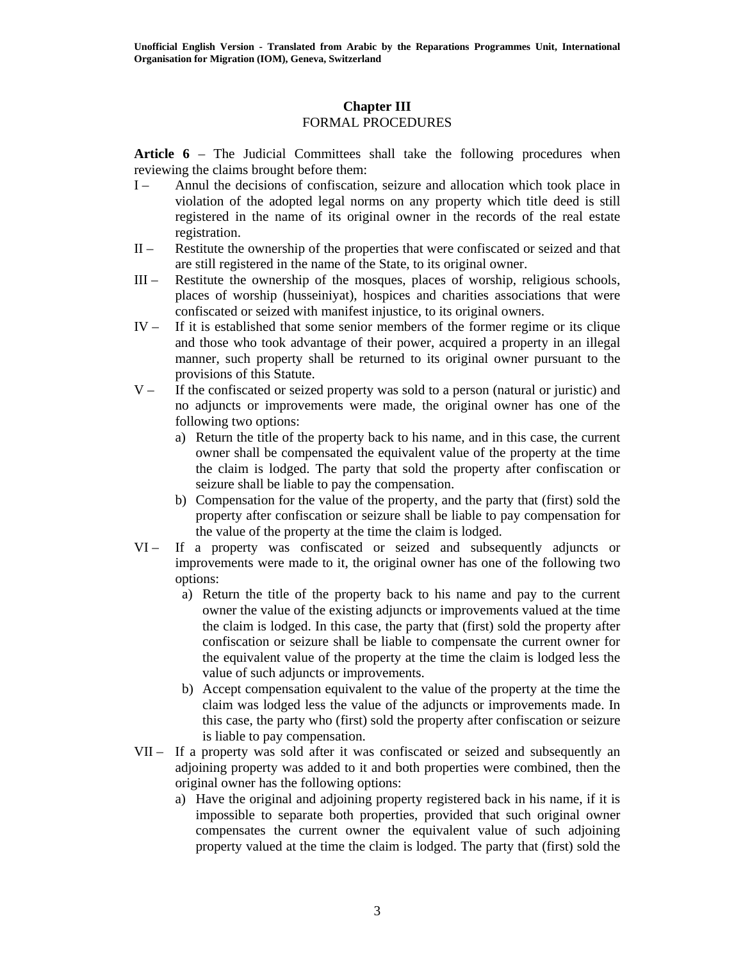# **Chapter III**  FORMAL PROCEDURES

**Article 6** – The Judicial Committees shall take the following procedures when reviewing the claims brought before them:

- I Annul the decisions of confiscation, seizure and allocation which took place in violation of the adopted legal norms on any property which title deed is still registered in the name of its original owner in the records of the real estate registration.
- II Restitute the ownership of the properties that were confiscated or seized and that are still registered in the name of the State, to its original owner.
- III Restitute the ownership of the mosques, places of worship, religious schools, places of worship (husseiniyat), hospices and charities associations that were confiscated or seized with manifest injustice, to its original owners.
- IV If it is established that some senior members of the former regime or its clique and those who took advantage of their power, acquired a property in an illegal manner, such property shall be returned to its original owner pursuant to the provisions of this Statute.
- V If the confiscated or seized property was sold to a person (natural or juristic) and no adjuncts or improvements were made, the original owner has one of the following two options:
	- a) Return the title of the property back to his name, and in this case, the current owner shall be compensated the equivalent value of the property at the time the claim is lodged. The party that sold the property after confiscation or seizure shall be liable to pay the compensation.
	- b) Compensation for the value of the property, and the party that (first) sold the property after confiscation or seizure shall be liable to pay compensation for the value of the property at the time the claim is lodged.
- VI If a property was confiscated or seized and subsequently adjuncts or improvements were made to it, the original owner has one of the following two options:
	- a) Return the title of the property back to his name and pay to the current owner the value of the existing adjuncts or improvements valued at the time the claim is lodged. In this case, the party that (first) sold the property after confiscation or seizure shall be liable to compensate the current owner for the equivalent value of the property at the time the claim is lodged less the value of such adjuncts or improvements.
	- b) Accept compensation equivalent to the value of the property at the time the claim was lodged less the value of the adjuncts or improvements made. In this case, the party who (first) sold the property after confiscation or seizure is liable to pay compensation.
- VII If a property was sold after it was confiscated or seized and subsequently an adjoining property was added to it and both properties were combined, then the original owner has the following options:
	- a) Have the original and adjoining property registered back in his name, if it is impossible to separate both properties, provided that such original owner compensates the current owner the equivalent value of such adjoining property valued at the time the claim is lodged. The party that (first) sold the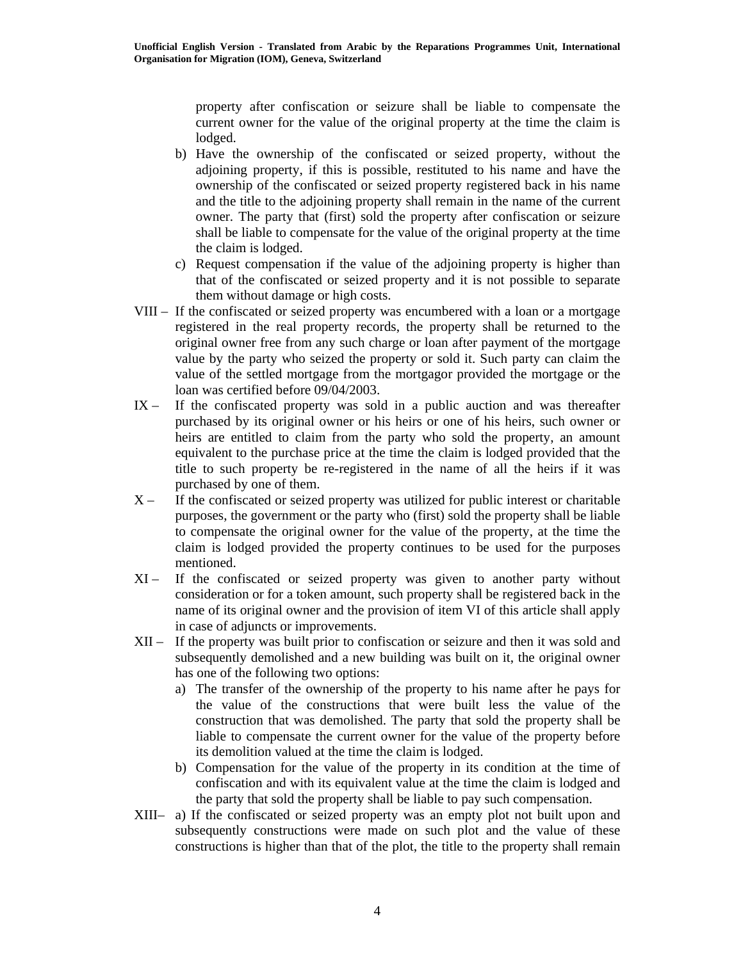property after confiscation or seizure shall be liable to compensate the current owner for the value of the original property at the time the claim is lodged.

- b) Have the ownership of the confiscated or seized property, without the adjoining property, if this is possible, restituted to his name and have the ownership of the confiscated or seized property registered back in his name and the title to the adjoining property shall remain in the name of the current owner. The party that (first) sold the property after confiscation or seizure shall be liable to compensate for the value of the original property at the time the claim is lodged.
- c) Request compensation if the value of the adjoining property is higher than that of the confiscated or seized property and it is not possible to separate them without damage or high costs.
- VIII If the confiscated or seized property was encumbered with a loan or a mortgage registered in the real property records, the property shall be returned to the original owner free from any such charge or loan after payment of the mortgage value by the party who seized the property or sold it. Such party can claim the value of the settled mortgage from the mortgagor provided the mortgage or the loan was certified before 09/04/2003.
- IX If the confiscated property was sold in a public auction and was thereafter purchased by its original owner or his heirs or one of his heirs, such owner or heirs are entitled to claim from the party who sold the property, an amount equivalent to the purchase price at the time the claim is lodged provided that the title to such property be re-registered in the name of all the heirs if it was purchased by one of them.
- X If the confiscated or seized property was utilized for public interest or charitable purposes, the government or the party who (first) sold the property shall be liable to compensate the original owner for the value of the property, at the time the claim is lodged provided the property continues to be used for the purposes mentioned.
- XI If the confiscated or seized property was given to another party without consideration or for a token amount, such property shall be registered back in the name of its original owner and the provision of item VI of this article shall apply in case of adjuncts or improvements.
- XII If the property was built prior to confiscation or seizure and then it was sold and subsequently demolished and a new building was built on it, the original owner has one of the following two options:
	- a) The transfer of the ownership of the property to his name after he pays for the value of the constructions that were built less the value of the construction that was demolished. The party that sold the property shall be liable to compensate the current owner for the value of the property before its demolition valued at the time the claim is lodged.
	- b) Compensation for the value of the property in its condition at the time of confiscation and with its equivalent value at the time the claim is lodged and the party that sold the property shall be liable to pay such compensation.
- XIII– a) If the confiscated or seized property was an empty plot not built upon and subsequently constructions were made on such plot and the value of these constructions is higher than that of the plot, the title to the property shall remain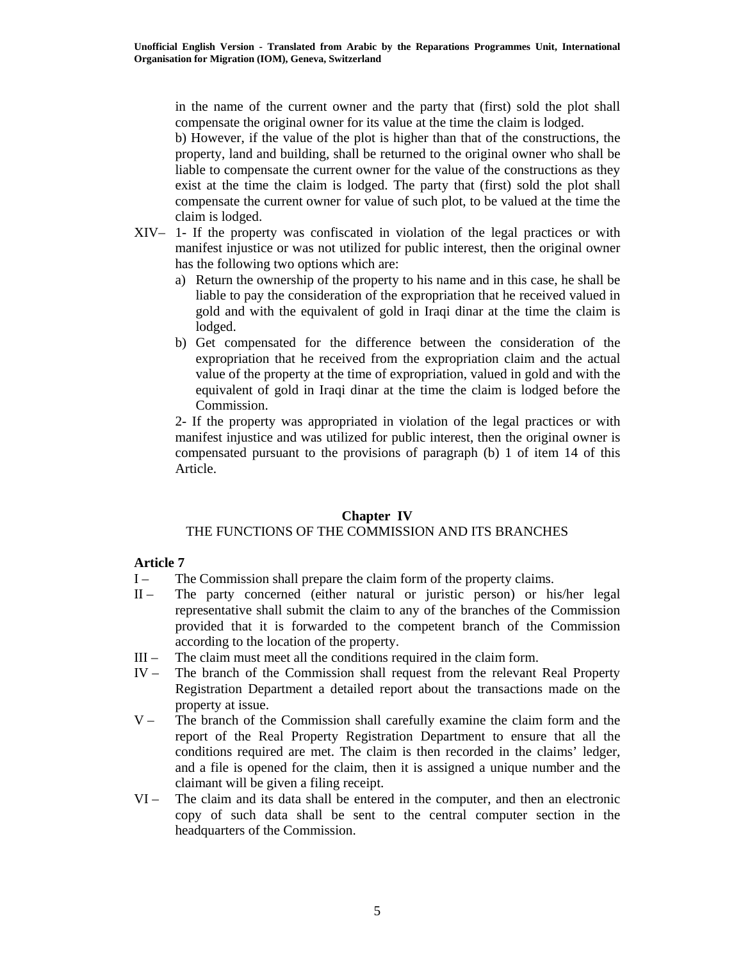in the name of the current owner and the party that (first) sold the plot shall compensate the original owner for its value at the time the claim is lodged.

b) However, if the value of the plot is higher than that of the constructions, the property, land and building, shall be returned to the original owner who shall be liable to compensate the current owner for the value of the constructions as they exist at the time the claim is lodged. The party that (first) sold the plot shall compensate the current owner for value of such plot, to be valued at the time the claim is lodged.

- XIV– 1- If the property was confiscated in violation of the legal practices or with manifest injustice or was not utilized for public interest, then the original owner has the following two options which are:
	- a) Return the ownership of the property to his name and in this case, he shall be liable to pay the consideration of the expropriation that he received valued in gold and with the equivalent of gold in Iraqi dinar at the time the claim is lodged.
	- b) Get compensated for the difference between the consideration of the expropriation that he received from the expropriation claim and the actual value of the property at the time of expropriation, valued in gold and with the equivalent of gold in Iraqi dinar at the time the claim is lodged before the Commission.

2- If the property was appropriated in violation of the legal practices or with manifest injustice and was utilized for public interest, then the original owner is compensated pursuant to the provisions of paragraph (b) 1 of item 14 of this Article.

### **Chapter IV**

# THE FUNCTIONS OF THE COMMISSION AND ITS BRANCHES

# **Article 7**

- I The Commission shall prepare the claim form of the property claims.
- II The party concerned (either natural or juristic person) or his/her legal representative shall submit the claim to any of the branches of the Commission provided that it is forwarded to the competent branch of the Commission according to the location of the property.
- III The claim must meet all the conditions required in the claim form.
- IV The branch of the Commission shall request from the relevant Real Property Registration Department a detailed report about the transactions made on the property at issue.
- V The branch of the Commission shall carefully examine the claim form and the report of the Real Property Registration Department to ensure that all the conditions required are met. The claim is then recorded in the claims' ledger, and a file is opened for the claim, then it is assigned a unique number and the claimant will be given a filing receipt.
- VI The claim and its data shall be entered in the computer, and then an electronic copy of such data shall be sent to the central computer section in the headquarters of the Commission.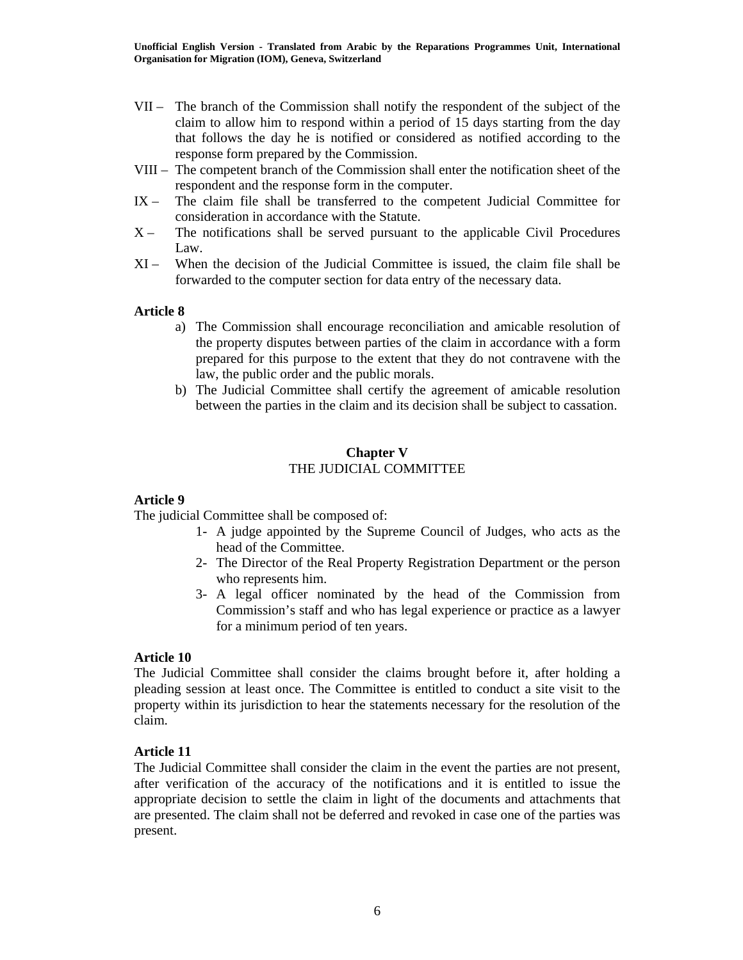- VII The branch of the Commission shall notify the respondent of the subject of the claim to allow him to respond within a period of 15 days starting from the day that follows the day he is notified or considered as notified according to the response form prepared by the Commission.
- VIII The competent branch of the Commission shall enter the notification sheet of the respondent and the response form in the computer.
- IX The claim file shall be transferred to the competent Judicial Committee for consideration in accordance with the Statute.
- X The notifications shall be served pursuant to the applicable Civil Procedures Law.
- XI When the decision of the Judicial Committee is issued, the claim file shall be forwarded to the computer section for data entry of the necessary data.

### **Article 8**

- a) The Commission shall encourage reconciliation and amicable resolution of the property disputes between parties of the claim in accordance with a form prepared for this purpose to the extent that they do not contravene with the law, the public order and the public morals.
- b) The Judicial Committee shall certify the agreement of amicable resolution between the parties in the claim and its decision shall be subject to cassation.

#### **Chapter V**  THE JUDICIAL COMMITTEE

#### **Article 9**

The judicial Committee shall be composed of:

- 1- A judge appointed by the Supreme Council of Judges, who acts as the head of the Committee.
- 2- The Director of the Real Property Registration Department or the person who represents him.
- 3- A legal officer nominated by the head of the Commission from Commission's staff and who has legal experience or practice as a lawyer for a minimum period of ten years.

#### **Article 10**

The Judicial Committee shall consider the claims brought before it, after holding a pleading session at least once. The Committee is entitled to conduct a site visit to the property within its jurisdiction to hear the statements necessary for the resolution of the claim.

#### **Article 11**

The Judicial Committee shall consider the claim in the event the parties are not present, after verification of the accuracy of the notifications and it is entitled to issue the appropriate decision to settle the claim in light of the documents and attachments that are presented. The claim shall not be deferred and revoked in case one of the parties was present.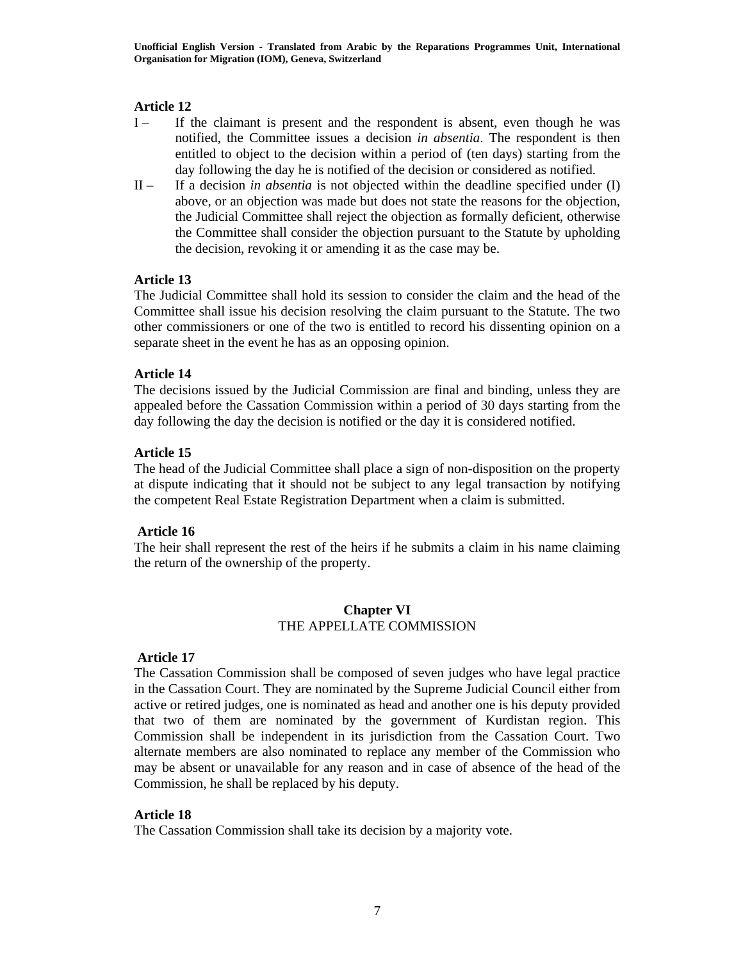# **Article 12**

- I If the claimant is present and the respondent is absent, even though he was notified, the Committee issues a decision *in absentia*. The respondent is then entitled to object to the decision within a period of (ten days) starting from the day following the day he is notified of the decision or considered as notified.
- II If a decision *in absentia* is not objected within the deadline specified under (I) above, or an objection was made but does not state the reasons for the objection, the Judicial Committee shall reject the objection as formally deficient, otherwise the Committee shall consider the objection pursuant to the Statute by upholding the decision, revoking it or amending it as the case may be.

### **Article 13**

The Judicial Committee shall hold its session to consider the claim and the head of the Committee shall issue his decision resolving the claim pursuant to the Statute. The two other commissioners or one of the two is entitled to record his dissenting opinion on a separate sheet in the event he has as an opposing opinion.

### **Article 14**

The decisions issued by the Judicial Commission are final and binding, unless they are appealed before the Cassation Commission within a period of 30 days starting from the day following the day the decision is notified or the day it is considered notified.

# **Article 15**

The head of the Judicial Committee shall place a sign of non-disposition on the property at dispute indicating that it should not be subject to any legal transaction by notifying the competent Real Estate Registration Department when a claim is submitted.

### **Article 16**

The heir shall represent the rest of the heirs if he submits a claim in his name claiming the return of the ownership of the property.

# **Chapter VI**  THE APPELLATE COMMISSION

### **Article 17**

The Cassation Commission shall be composed of seven judges who have legal practice in the Cassation Court. They are nominated by the Supreme Judicial Council either from active or retired judges, one is nominated as head and another one is his deputy provided that two of them are nominated by the government of Kurdistan region. This Commission shall be independent in its jurisdiction from the Cassation Court. Two alternate members are also nominated to replace any member of the Commission who may be absent or unavailable for any reason and in case of absence of the head of the Commission, he shall be replaced by his deputy.

### **Article 18**

The Cassation Commission shall take its decision by a majority vote.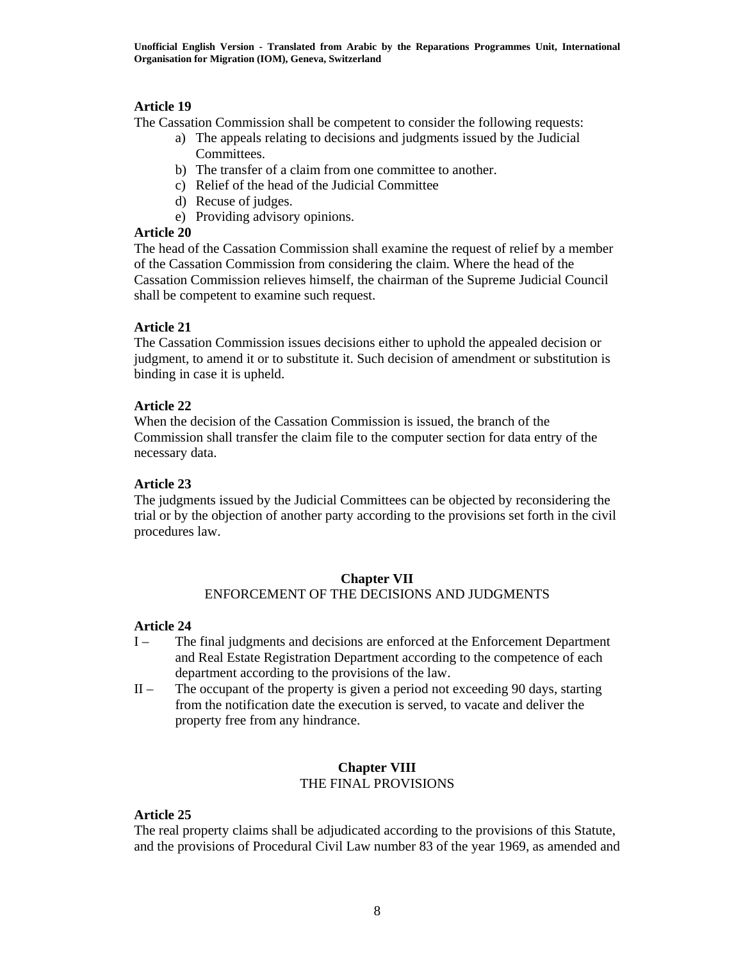# **Article 19**

The Cassation Commission shall be competent to consider the following requests:

- a) The appeals relating to decisions and judgments issued by the Judicial Committees.
- b) The transfer of a claim from one committee to another.
- c) Relief of the head of the Judicial Committee
- d) Recuse of judges.
- e) Providing advisory opinions.

#### **Article 20**

The head of the Cassation Commission shall examine the request of relief by a member of the Cassation Commission from considering the claim. Where the head of the Cassation Commission relieves himself, the chairman of the Supreme Judicial Council shall be competent to examine such request.

## **Article 21**

The Cassation Commission issues decisions either to uphold the appealed decision or judgment, to amend it or to substitute it. Such decision of amendment or substitution is binding in case it is upheld.

### **Article 22**

When the decision of the Cassation Commission is issued, the branch of the Commission shall transfer the claim file to the computer section for data entry of the necessary data.

### **Article 23**

The judgments issued by the Judicial Committees can be objected by reconsidering the trial or by the objection of another party according to the provisions set forth in the civil procedures law.

### **Chapter VII**

### ENFORCEMENT OF THE DECISIONS AND JUDGMENTS

## **Article 24**

- I The final judgments and decisions are enforced at the Enforcement Department and Real Estate Registration Department according to the competence of each department according to the provisions of the law.
- II The occupant of the property is given a period not exceeding 90 days, starting from the notification date the execution is served, to vacate and deliver the property free from any hindrance.

# **Chapter VIII**  THE FINAL PROVISIONS

### **Article 25**

The real property claims shall be adjudicated according to the provisions of this Statute, and the provisions of Procedural Civil Law number 83 of the year 1969, as amended and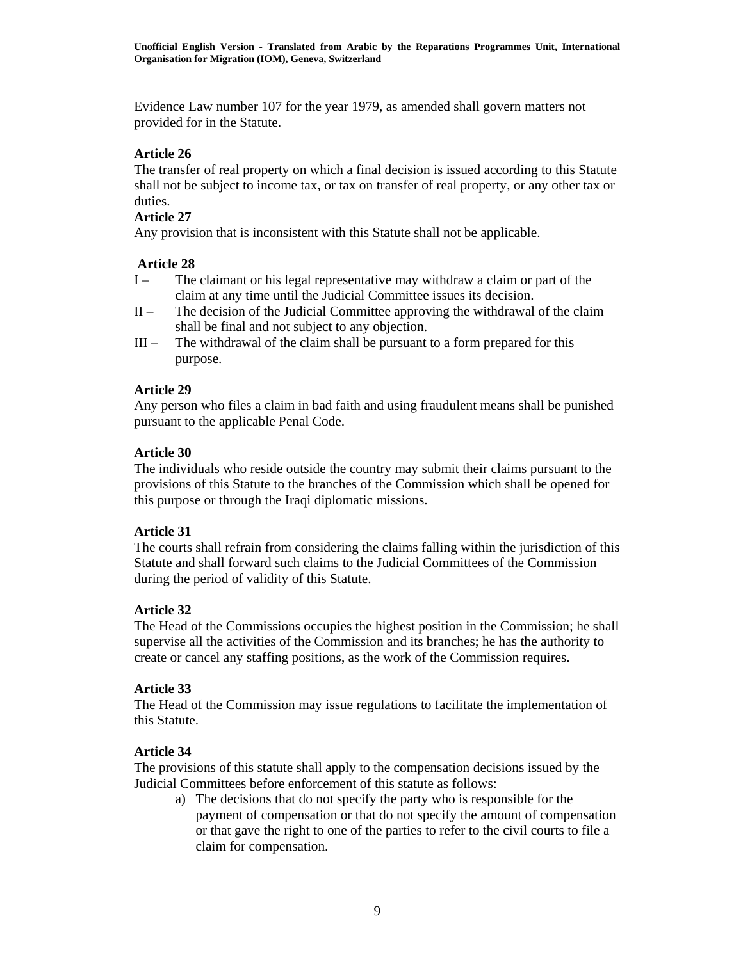Evidence Law number 107 for the year 1979, as amended shall govern matters not provided for in the Statute.

# **Article 26**

The transfer of real property on which a final decision is issued according to this Statute shall not be subject to income tax, or tax on transfer of real property, or any other tax or duties.

## **Article 27**

Any provision that is inconsistent with this Statute shall not be applicable.

# **Article 28**

- I The claimant or his legal representative may withdraw a claim or part of the claim at any time until the Judicial Committee issues its decision.
- II The decision of the Judicial Committee approving the withdrawal of the claim shall be final and not subject to any objection.
- III The withdrawal of the claim shall be pursuant to a form prepared for this purpose.

# **Article 29**

Any person who files a claim in bad faith and using fraudulent means shall be punished pursuant to the applicable Penal Code.

### **Article 30**

The individuals who reside outside the country may submit their claims pursuant to the provisions of this Statute to the branches of the Commission which shall be opened for this purpose or through the Iraqi diplomatic missions.

### **Article 31**

The courts shall refrain from considering the claims falling within the jurisdiction of this Statute and shall forward such claims to the Judicial Committees of the Commission during the period of validity of this Statute.

# **Article 32**

The Head of the Commissions occupies the highest position in the Commission; he shall supervise all the activities of the Commission and its branches; he has the authority to create or cancel any staffing positions, as the work of the Commission requires.

# **Article 33**

The Head of the Commission may issue regulations to facilitate the implementation of this Statute.

### **Article 34**

The provisions of this statute shall apply to the compensation decisions issued by the Judicial Committees before enforcement of this statute as follows:

a) The decisions that do not specify the party who is responsible for the payment of compensation or that do not specify the amount of compensation or that gave the right to one of the parties to refer to the civil courts to file a claim for compensation.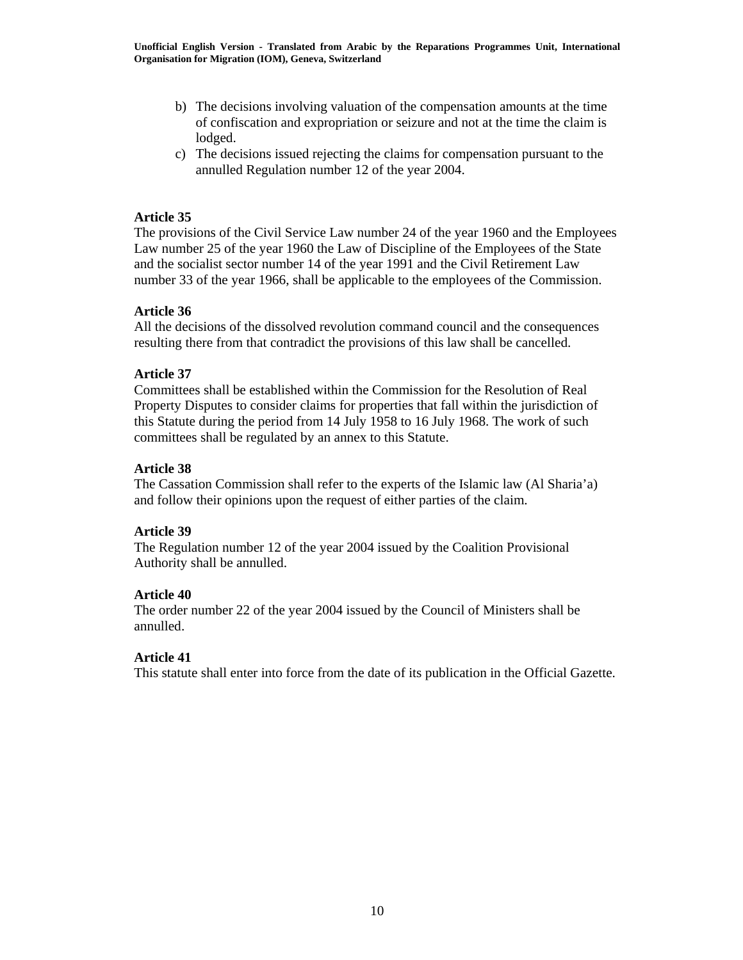- b) The decisions involving valuation of the compensation amounts at the time of confiscation and expropriation or seizure and not at the time the claim is lodged.
- c) The decisions issued rejecting the claims for compensation pursuant to the annulled Regulation number 12 of the year 2004.

# **Article 35**

The provisions of the Civil Service Law number 24 of the year 1960 and the Employees Law number 25 of the year 1960 the Law of Discipline of the Employees of the State and the socialist sector number 14 of the year 1991 and the Civil Retirement Law number 33 of the year 1966, shall be applicable to the employees of the Commission.

# **Article 36**

All the decisions of the dissolved revolution command council and the consequences resulting there from that contradict the provisions of this law shall be cancelled.

### **Article 37**

Committees shall be established within the Commission for the Resolution of Real Property Disputes to consider claims for properties that fall within the jurisdiction of this Statute during the period from 14 July 1958 to 16 July 1968. The work of such committees shall be regulated by an annex to this Statute.

# **Article 38**

The Cassation Commission shall refer to the experts of the Islamic law (Al Sharia'a) and follow their opinions upon the request of either parties of the claim.

### **Article 39**

The Regulation number 12 of the year 2004 issued by the Coalition Provisional Authority shall be annulled.

### **Article 40**

The order number 22 of the year 2004 issued by the Council of Ministers shall be annulled.

# **Article 41**

This statute shall enter into force from the date of its publication in the Official Gazette.